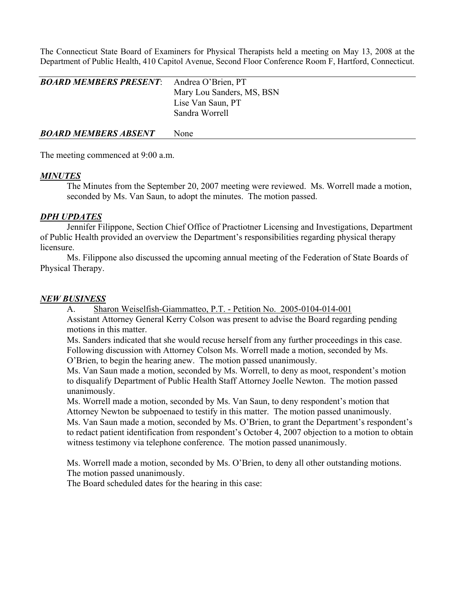The Connecticut State Board of Examiners for Physical Therapists held a meeting on May 13, 2008 at the Department of Public Health, 410 Capitol Avenue, Second Floor Conference Room F, Hartford, Connecticut.

| <b>BOARD MEMBERS PRESENT:</b> Andrea O'Brien, PT | Mary Lou Sanders, MS, BSN<br>Lise Van Saun, PT |
|--------------------------------------------------|------------------------------------------------|
| <b>BOARD MEMBERS ABSENT</b>                      | Sandra Worrell<br>None                         |

The meeting commenced at 9:00 a.m.

# *MINUTES*

 The Minutes from the September 20, 2007 meeting were reviewed. Ms. Worrell made a motion, seconded by Ms. Van Saun, to adopt the minutes. The motion passed.

## *DPH UPDATES*

 Jennifer Filippone, Section Chief Office of Practiotner Licensing and Investigations, Department of Public Health provided an overview the Department's responsibilities regarding physical therapy licensure.

 Ms. Filippone also discussed the upcoming annual meeting of the Federation of State Boards of Physical Therapy.

## *NEW BUSINESS*

 A. Sharon Weiselfish-Giammatteo, P.T. - Petition No. 2005-0104-014-001 Assistant Attorney General Kerry Colson was present to advise the Board regarding pending motions in this matter.

 Ms. Sanders indicated that she would recuse herself from any further proceedings in this case. Following discussion with Attorney Colson Ms. Worrell made a motion, seconded by Ms. O'Brien, to begin the hearing anew. The motion passed unanimously.

 Ms. Van Saun made a motion, seconded by Ms. Worrell, to deny as moot, respondent's motion to disqualify Department of Public Health Staff Attorney Joelle Newton. The motion passed unanimously.

 Ms. Worrell made a motion, seconded by Ms. Van Saun, to deny respondent's motion that Attorney Newton be subpoenaed to testify in this matter. The motion passed unanimously. Ms. Van Saun made a motion, seconded by Ms. O'Brien, to grant the Department's respondent's to redact patient identification from respondent's October 4, 2007 objection to a motion to obtain witness testimony via telephone conference. The motion passed unanimously.

 Ms. Worrell made a motion, seconded by Ms. O'Brien, to deny all other outstanding motions. The motion passed unanimously.

The Board scheduled dates for the hearing in this case: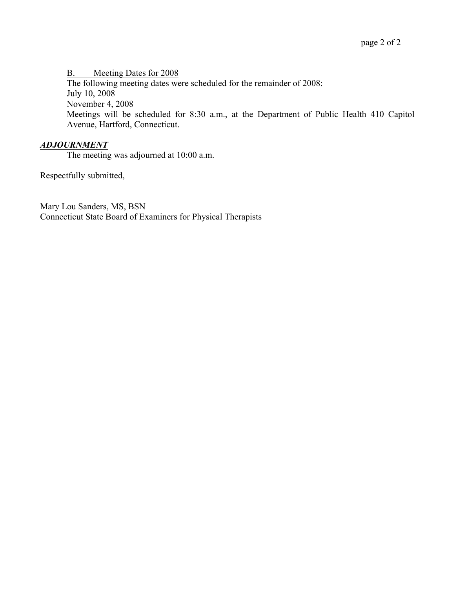B. Meeting Dates for 2008 The following meeting dates were scheduled for the remainder of 2008: July 10, 2008 November 4, 2008 Meetings will be scheduled for 8:30 a.m., at the Department of Public Health 410 Capitol Avenue, Hartford, Connecticut.

# *ADJOURNMENT*

The meeting was adjourned at 10:00 a.m.

Respectfully submitted,

Mary Lou Sanders, MS, BSN Connecticut State Board of Examiners for Physical Therapists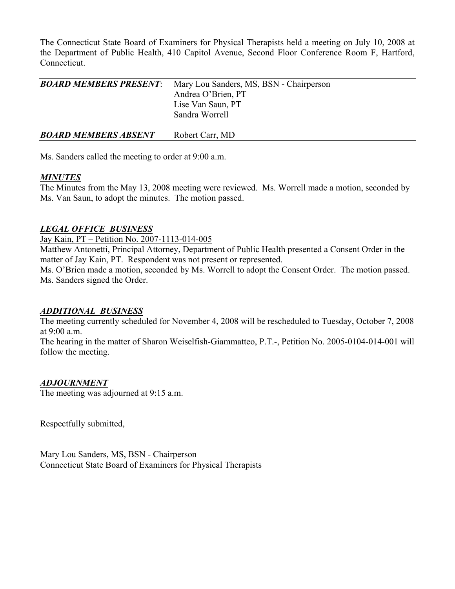The Connecticut State Board of Examiners for Physical Therapists held a meeting on July 10, 2008 at the Department of Public Health, 410 Capitol Avenue, Second Floor Conference Room F, Hartford, Connecticut.

| <b>BOARD MEMBERS PRESENT:</b> | Mary Lou Sanders, MS, BSN - Chairperson<br>Andrea O'Brien, PT<br>Lise Van Saun, PT<br>Sandra Worrell |  |
|-------------------------------|------------------------------------------------------------------------------------------------------|--|
| <b>BOARD MEMBERS ABSENT</b>   | Robert Carr, MD                                                                                      |  |

Ms. Sanders called the meeting to order at 9:00 a.m.

### *MINUTES*

The Minutes from the May 13, 2008 meeting were reviewed. Ms. Worrell made a motion, seconded by Ms. Van Saun, to adopt the minutes. The motion passed.

## *LEGAL OFFICE BUSINESS*

Jay Kain, PT – Petition No. 2007-1113-014-005

Matthew Antonetti, Principal Attorney, Department of Public Health presented a Consent Order in the matter of Jay Kain, PT. Respondent was not present or represented.

Ms. O'Brien made a motion, seconded by Ms. Worrell to adopt the Consent Order. The motion passed. Ms. Sanders signed the Order.

### *ADDITIONAL BUSINESS*

The meeting currently scheduled for November 4, 2008 will be rescheduled to Tuesday, October 7, 2008 at 9:00 a.m.

The hearing in the matter of Sharon Weiselfish-Giammatteo, P.T.-, Petition No. 2005-0104-014-001 will follow the meeting.

## *ADJOURNMENT*

The meeting was adjourned at 9:15 a.m.

Respectfully submitted,

Mary Lou Sanders, MS, BSN - Chairperson Connecticut State Board of Examiners for Physical Therapists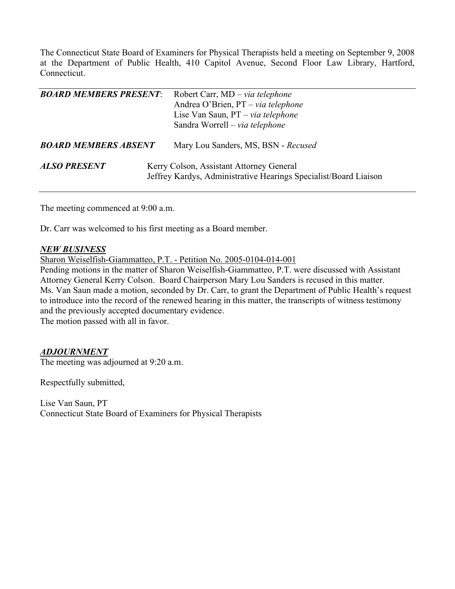The Connecticut State Board of Examiners for Physical Therapists held a meeting on September 9, 2008 at the Department of Public Health, 410 Capitol Avenue, Second Floor Law Library, Hartford, Connecticut.

| <b>BOARD MEMBERS PRESENT:</b> | Robert Carr, MD – via telephone<br>Andrea O'Brien, PT - via telephone<br>Lise Van Saun, PT – via telephone<br>Sandra Worrell - via telephone |
|-------------------------------|----------------------------------------------------------------------------------------------------------------------------------------------|
| <b>BOARD MEMBERS ABSENT</b>   | Mary Lou Sanders, MS, BSN - Recused                                                                                                          |
| <b>ALSO PRESENT</b>           | Kerry Colson, Assistant Attorney General<br>Jeffrey Kardys, Administrative Hearings Specialist/Board Liaison                                 |

The meeting commenced at 9:00 a.m.

Dr. Carr was welcomed to his first meeting as a Board member.

### *NEW BUSINESS*

Sharon Weiselfish-Giammatteo, P.T. - Petition No. 2005-0104-014-001

Pending motions in the matter of Sharon Weiselfish-Giammatteo, P.T. were discussed with Assistant Attorney General Kerry Colson. Board Chairperson Mary Lou Sanders is recused in this matter. Ms. Van Saun made a motion, seconded by Dr. Carr, to grant the Department of Public Health's request to introduce into the record of the renewed hearing in this matter, the transcripts of witness testimony and the previously accepted documentary evidence.

The motion passed with all in favor.

### *ADJOURNMENT*

The meeting was adjourned at 9:20 a.m.

Respectfully submitted,

Lise Van Saun, PT Connecticut State Board of Examiners for Physical Therapists